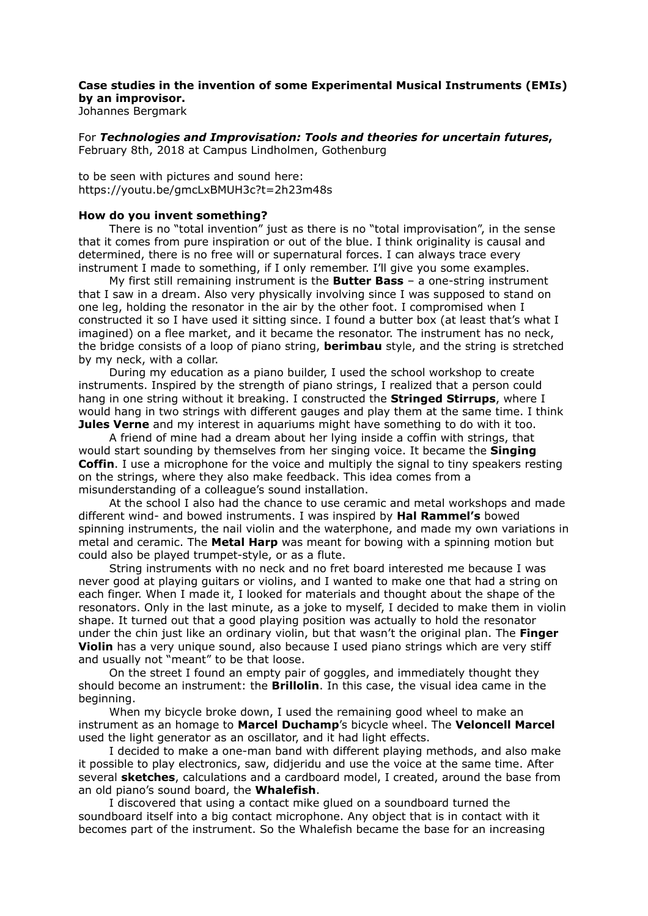## **Case studies in the invention of some Experimental Musical Instruments (EMIs) by an improvisor.**

Johannes Bergmark

For *Technologies and Improvisation: Tools and theories for uncertain futures***,**  February 8th, 2018 at Campus Lindholmen, Gothenburg

to be seen with pictures and sound here: https://youtu.be/gmcLxBMUH3c?t=2h23m48s

## **How do you invent something?**

There is no "total invention" just as there is no "total improvisation", in the sense that it comes from pure inspiration or out of the blue. I think originality is causal and determined, there is no free will or supernatural forces. I can always trace every instrument I made to something, if I only remember. I'll give you some examples.

My first still remaining instrument is the **Butter Bass** – a one-string instrument that I saw in a dream. Also very physically involving since I was supposed to stand on one leg, holding the resonator in the air by the other foot. I compromised when I constructed it so I have used it sitting since. I found a butter box (at least that's what I imagined) on a flee market, and it became the resonator. The instrument has no neck, the bridge consists of a loop of piano string, **berimbau** style, and the string is stretched by my neck, with a collar.

During my education as a piano builder, I used the school workshop to create instruments. Inspired by the strength of piano strings, I realized that a person could hang in one string without it breaking. I constructed the **Stringed Stirrups**, where I would hang in two strings with different gauges and play them at the same time. I think **Jules Verne** and my interest in aquariums might have something to do with it too.

A friend of mine had a dream about her lying inside a coffin with strings, that would start sounding by themselves from her singing voice. It became the **Singing Coffin**. I use a microphone for the voice and multiply the signal to tiny speakers resting on the strings, where they also make feedback. This idea comes from a misunderstanding of a colleague's sound installation.

At the school I also had the chance to use ceramic and metal workshops and made different wind- and bowed instruments. I was inspired by **Hal Rammel's** bowed spinning instruments, the nail violin and the waterphone, and made my own variations in metal and ceramic. The **Metal Harp** was meant for bowing with a spinning motion but could also be played trumpet-style, or as a flute.

String instruments with no neck and no fret board interested me because I was never good at playing guitars or violins, and I wanted to make one that had a string on each finger. When I made it, I looked for materials and thought about the shape of the resonators. Only in the last minute, as a joke to myself, I decided to make them in violin shape. It turned out that a good playing position was actually to hold the resonator under the chin just like an ordinary violin, but that wasn't the original plan. The **Finger Violin** has a very unique sound, also because I used piano strings which are very stiff and usually not "meant" to be that loose.

On the street I found an empty pair of goggles, and immediately thought they should become an instrument: the **Brillolin**. In this case, the visual idea came in the beginning.

When my bicycle broke down, I used the remaining good wheel to make an instrument as an homage to **Marcel Duchamp**'s bicycle wheel. The **Veloncell Marcel** used the light generator as an oscillator, and it had light effects.

I decided to make a one-man band with different playing methods, and also make it possible to play electronics, saw, didjeridu and use the voice at the same time. After several **sketches**, calculations and a cardboard model, I created, around the base from an old piano's sound board, the **Whalefish**.

I discovered that using a contact mike glued on a soundboard turned the soundboard itself into a big contact microphone. Any object that is in contact with it becomes part of the instrument. So the Whalefish became the base for an increasing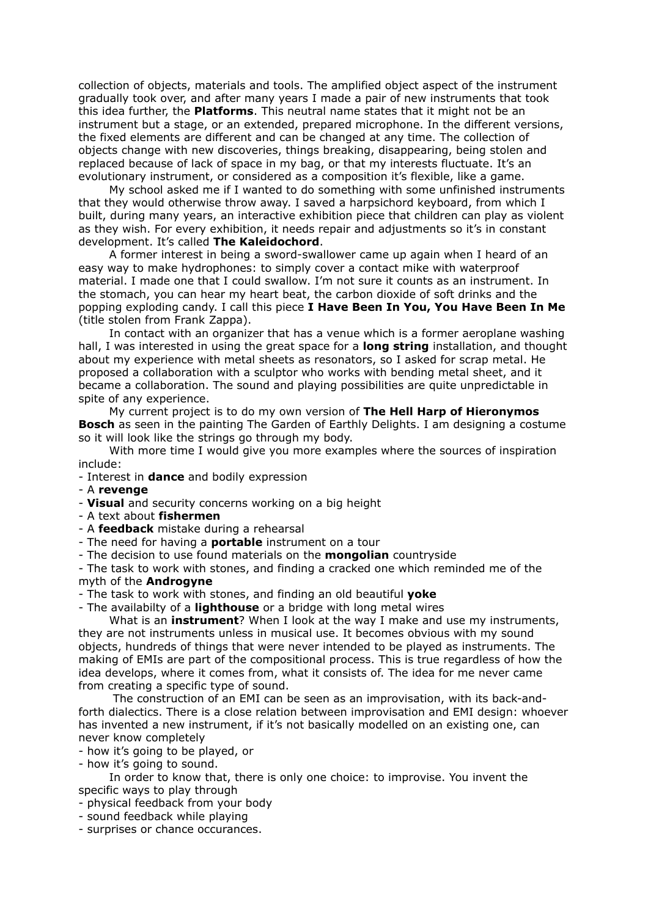collection of objects, materials and tools. The amplified object aspect of the instrument gradually took over, and after many years I made a pair of new instruments that took this idea further, the **Platforms**. This neutral name states that it might not be an instrument but a stage, or an extended, prepared microphone. In the different versions, the fixed elements are different and can be changed at any time. The collection of objects change with new discoveries, things breaking, disappearing, being stolen and replaced because of lack of space in my bag, or that my interests fluctuate. It's an evolutionary instrument, or considered as a composition it's flexible, like a game.

My school asked me if I wanted to do something with some unfinished instruments that they would otherwise throw away. I saved a harpsichord keyboard, from which I built, during many years, an interactive exhibition piece that children can play as violent as they wish. For every exhibition, it needs repair and adjustments so it's in constant development. It's called **The Kaleidochord**.

A former interest in being a sword-swallower came up again when I heard of an easy way to make hydrophones: to simply cover a contact mike with waterproof material. I made one that I could swallow. I'm not sure it counts as an instrument. In the stomach, you can hear my heart beat, the carbon dioxide of soft drinks and the popping exploding candy. I call this piece **I Have Been In You, You Have Been In Me** (title stolen from Frank Zappa).

In contact with an organizer that has a venue which is a former aeroplane washing hall, I was interested in using the great space for a **long string** installation, and thought about my experience with metal sheets as resonators, so I asked for scrap metal. He proposed a collaboration with a sculptor who works with bending metal sheet, and it became a collaboration. The sound and playing possibilities are quite unpredictable in spite of any experience.

My current project is to do my own version of **The Hell Harp of Hieronymos Bosch** as seen in the painting The Garden of Earthly Delights. I am designing a costume so it will look like the strings go through my body.

With more time I would give you more examples where the sources of inspiration include:

- Interest in **dance** and bodily expression

- A **revenge**

- **Visual** and security concerns working on a big height
- A text about **fishermen**
- A **feedback** mistake during a rehearsal
- The need for having a **portable** instrument on a tour
- The decision to use found materials on the **mongolian** countryside

- The task to work with stones, and finding a cracked one which reminded me of the myth of the **Androgyne**

- The task to work with stones, and finding an old beautiful **yoke**

- The availabilty of a **lighthouse** or a bridge with long metal wires

What is an **instrument**? When I look at the way I make and use my instruments, they are not instruments unless in musical use. It becomes obvious with my sound objects, hundreds of things that were never intended to be played as instruments. The making of EMIs are part of the compositional process. This is true regardless of how the idea develops, where it comes from, what it consists of. The idea for me never came from creating a specific type of sound.

 The construction of an EMI can be seen as an improvisation, with its back-andforth dialectics. There is a close relation between improvisation and EMI design: whoever has invented a new instrument, if it's not basically modelled on an existing one, can never know completely

- how it's going to be played, or

- how it's going to sound.

In order to know that, there is only one choice: to improvise. You invent the specific ways to play through

- physical feedback from your body

- sound feedback while playing
- surprises or chance occurances.